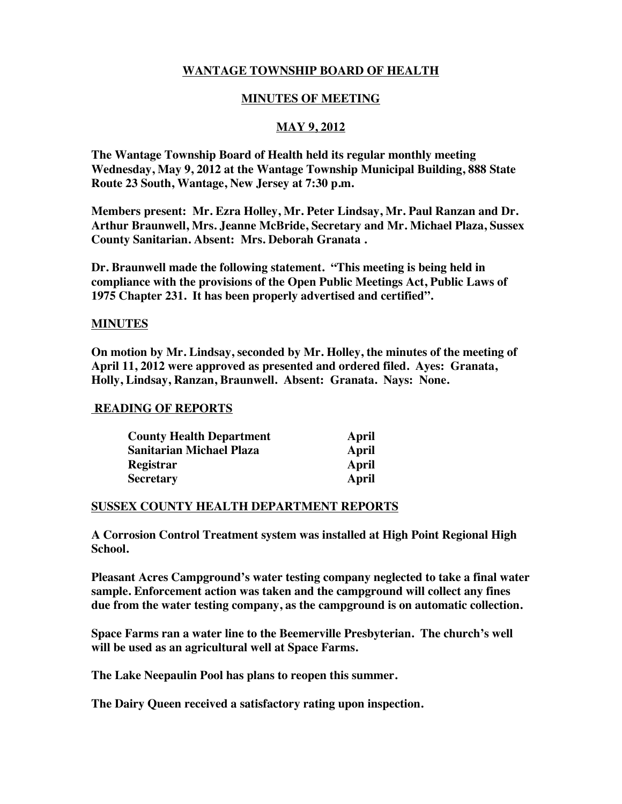# **WANTAGE TOWNSHIP BOARD OF HEALTH**

### **MINUTES OF MEETING**

# **MAY 9, 2012**

**The Wantage Township Board of Health held its regular monthly meeting Wednesday, May 9, 2012 at the Wantage Township Municipal Building, 888 State Route 23 South, Wantage, New Jersey at 7:30 p.m.** 

**Members present: Mr. Ezra Holley, Mr. Peter Lindsay, Mr. Paul Ranzan and Dr. Arthur Braunwell, Mrs. Jeanne McBride, Secretary and Mr. Michael Plaza, Sussex County Sanitarian. Absent: Mrs. Deborah Granata .**

**Dr. Braunwell made the following statement. "This meeting is being held in compliance with the provisions of the Open Public Meetings Act, Public Laws of 1975 Chapter 231. It has been properly advertised and certified".**

#### **MINUTES**

**On motion by Mr. Lindsay, seconded by Mr. Holley, the minutes of the meeting of April 11, 2012 were approved as presented and ordered filed. Ayes: Granata, Holly, Lindsay, Ranzan, Braunwell. Absent: Granata. Nays: None.** 

#### **READING OF REPORTS**

| <b>County Health Department</b> | April |
|---------------------------------|-------|
| <b>Sanitarian Michael Plaza</b> | April |
| Registrar                       | April |
| <b>Secretary</b>                | April |

#### **SUSSEX COUNTY HEALTH DEPARTMENT REPORTS**

**A Corrosion Control Treatment system was installed at High Point Regional High School.**

**Pleasant Acres Campground's water testing company neglected to take a final water sample. Enforcement action was taken and the campground will collect any fines due from the water testing company, as the campground is on automatic collection.**

**Space Farms ran a water line to the Beemerville Presbyterian. The church's well will be used as an agricultural well at Space Farms.**

**The Lake Neepaulin Pool has plans to reopen this summer.**

**The Dairy Queen received a satisfactory rating upon inspection.**